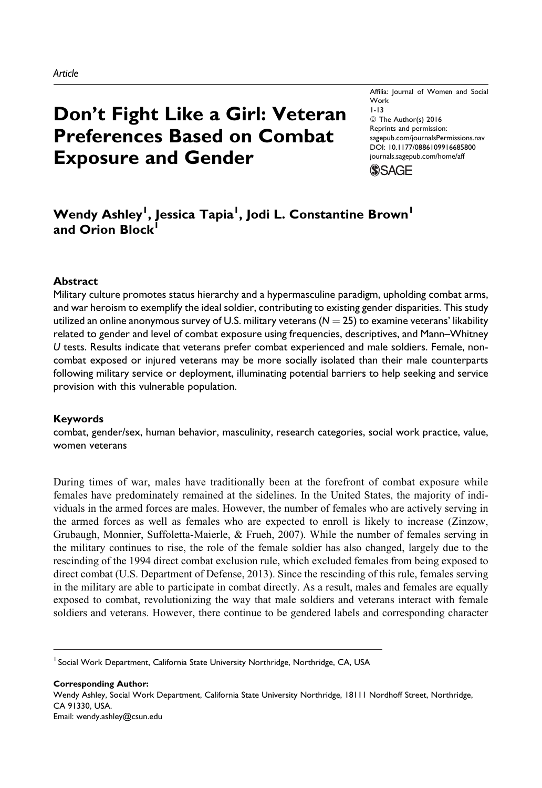# Don't Fight Like a Girl: Veteran Preferences Based on Combat Exposure and Gender

Affilia: Journal of Women and Social Work 1-13 © The Author(s) 2016 Reprints and permission: [sagepub.com/journalsPermissions.nav](http://www.sagepub.com/journalsPermissions.nav) [DOI: 10.1177/0886109916685800](https://doi.org/10.1177/0886109916685800) [journals.sagepub.com/home/aff](http://journals.sagepub.com/home/aff)



# Wendy Ashley<sup>l</sup>, Jessica Tapia<sup>l</sup>, Jodi L. Constantine Brown<sup>l</sup> and Orion Block<sup>1</sup>

#### Abstract

Military culture promotes status hierarchy and a hypermasculine paradigm, upholding combat arms, and war heroism to exemplify the ideal soldier, contributing to existing gender disparities. This study utilized an online anonymous survey of U.S. military veterans ( $N = 25$ ) to examine veterans' likability related to gender and level of combat exposure using frequencies, descriptives, and Mann–Whitney U tests. Results indicate that veterans prefer combat experienced and male soldiers. Female, noncombat exposed or injured veterans may be more socially isolated than their male counterparts following military service or deployment, illuminating potential barriers to help seeking and service provision with this vulnerable population.

#### Keywords

combat, gender/sex, human behavior, masculinity, research categories, social work practice, value, women veterans

During times of war, males have traditionally been at the forefront of combat exposure while females have predominately remained at the sidelines. In the United States, the majority of individuals in the armed forces are males. However, the number of females who are actively serving in the armed forces as well as females who are expected to enroll is likely to increase (Zinzow, Grubaugh, Monnier, Suffoletta-Maierle, & Frueh, 2007). While the number of females serving in the military continues to rise, the role of the female soldier has also changed, largely due to the rescinding of the 1994 direct combat exclusion rule, which excluded females from being exposed to direct combat (U.S. Department of Defense, 2013). Since the rescinding of this rule, females serving in the military are able to participate in combat directly. As a result, males and females are equally exposed to combat, revolutionizing the way that male soldiers and veterans interact with female soldiers and veterans. However, there continue to be gendered labels and corresponding character

Corresponding Author: Wendy Ashley, Social Work Department, California State University Northridge, 18111 Nordhoff Street, Northridge, CA 91330, USA. Email: wendy.ashley@csun.edu

<sup>&</sup>lt;sup>1</sup> Social Work Department, California State University Northridge, Northridge, CA, USA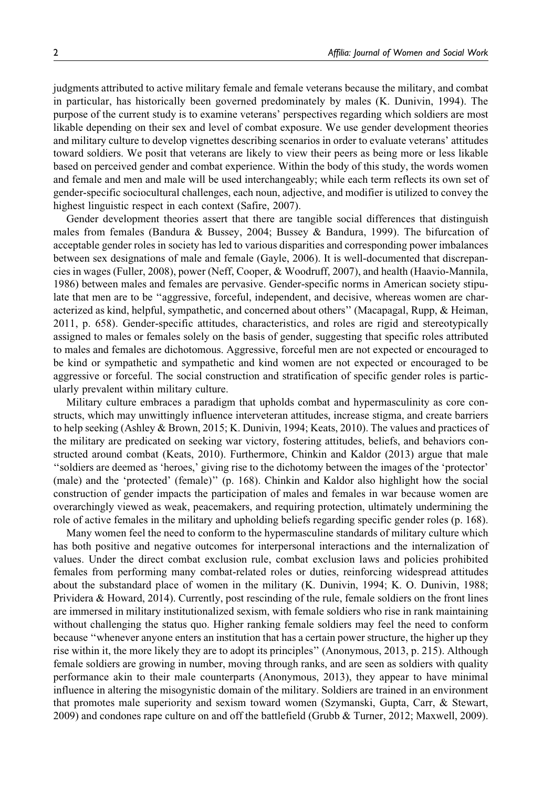judgments attributed to active military female and female veterans because the military, and combat in particular, has historically been governed predominately by males (K. Dunivin, 1994). The purpose of the current study is to examine veterans' perspectives regarding which soldiers are most likable depending on their sex and level of combat exposure. We use gender development theories and military culture to develop vignettes describing scenarios in order to evaluate veterans' attitudes toward soldiers. We posit that veterans are likely to view their peers as being more or less likable based on perceived gender and combat experience. Within the body of this study, the words women and female and men and male will be used interchangeably; while each term reflects its own set of gender-specific sociocultural challenges, each noun, adjective, and modifier is utilized to convey the highest linguistic respect in each context (Safire, 2007).

Gender development theories assert that there are tangible social differences that distinguish males from females (Bandura & Bussey, 2004; Bussey & Bandura, 1999). The bifurcation of acceptable gender roles in society has led to various disparities and corresponding power imbalances between sex designations of male and female (Gayle, 2006). It is well-documented that discrepancies in wages (Fuller, 2008), power (Neff, Cooper, & Woodruff, 2007), and health (Haavio-Mannila, 1986) between males and females are pervasive. Gender-specific norms in American society stipulate that men are to be "aggressive, forceful, independent, and decisive, whereas women are characterized as kind, helpful, sympathetic, and concerned about others'' (Macapagal, Rupp, & Heiman, 2011, p. 658). Gender-specific attitudes, characteristics, and roles are rigid and stereotypically assigned to males or females solely on the basis of gender, suggesting that specific roles attributed to males and females are dichotomous. Aggressive, forceful men are not expected or encouraged to be kind or sympathetic and sympathetic and kind women are not expected or encouraged to be aggressive or forceful. The social construction and stratification of specific gender roles is particularly prevalent within military culture.

Military culture embraces a paradigm that upholds combat and hypermasculinity as core constructs, which may unwittingly influence interveteran attitudes, increase stigma, and create barriers to help seeking (Ashley & Brown, 2015; K. Dunivin, 1994; Keats, 2010). The values and practices of the military are predicated on seeking war victory, fostering attitudes, beliefs, and behaviors constructed around combat (Keats, 2010). Furthermore, Chinkin and Kaldor (2013) argue that male ''soldiers are deemed as 'heroes,' giving rise to the dichotomy between the images of the 'protector' (male) and the 'protected' (female)'' (p. 168). Chinkin and Kaldor also highlight how the social construction of gender impacts the participation of males and females in war because women are overarchingly viewed as weak, peacemakers, and requiring protection, ultimately undermining the role of active females in the military and upholding beliefs regarding specific gender roles (p. 168).

Many women feel the need to conform to the hypermasculine standards of military culture which has both positive and negative outcomes for interpersonal interactions and the internalization of values. Under the direct combat exclusion rule, combat exclusion laws and policies prohibited females from performing many combat-related roles or duties, reinforcing widespread attitudes about the substandard place of women in the military (K. Dunivin, 1994; K. O. Dunivin, 1988; Prividera & Howard, 2014). Currently, post rescinding of the rule, female soldiers on the front lines are immersed in military institutionalized sexism, with female soldiers who rise in rank maintaining without challenging the status quo. Higher ranking female soldiers may feel the need to conform because ''whenever anyone enters an institution that has a certain power structure, the higher up they rise within it, the more likely they are to adopt its principles'' (Anonymous, 2013, p. 215). Although female soldiers are growing in number, moving through ranks, and are seen as soldiers with quality performance akin to their male counterparts (Anonymous, 2013), they appear to have minimal influence in altering the misogynistic domain of the military. Soldiers are trained in an environment that promotes male superiority and sexism toward women (Szymanski, Gupta, Carr, & Stewart, 2009) and condones rape culture on and off the battlefield (Grubb & Turner, 2012; Maxwell, 2009).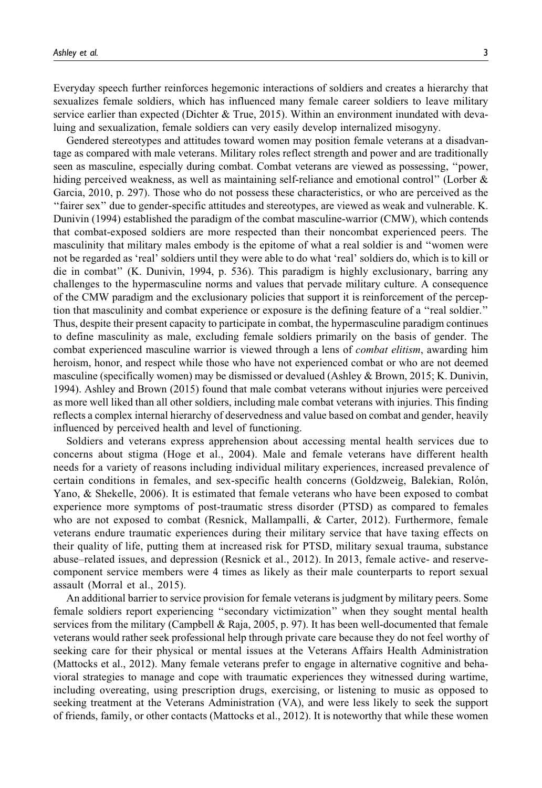Everyday speech further reinforces hegemonic interactions of soldiers and creates a hierarchy that sexualizes female soldiers, which has influenced many female career soldiers to leave military service earlier than expected (Dichter & True, 2015). Within an environment inundated with devaluing and sexualization, female soldiers can very easily develop internalized misogyny.

Gendered stereotypes and attitudes toward women may position female veterans at a disadvantage as compared with male veterans. Military roles reflect strength and power and are traditionally seen as masculine, especially during combat. Combat veterans are viewed as possessing, ''power, hiding perceived weakness, as well as maintaining self-reliance and emotional control" (Lorber & Garcia, 2010, p. 297). Those who do not possess these characteristics, or who are perceived as the ''fairer sex'' due to gender-specific attitudes and stereotypes, are viewed as weak and vulnerable. K. Dunivin (1994) established the paradigm of the combat masculine-warrior (CMW), which contends that combat-exposed soldiers are more respected than their noncombat experienced peers. The masculinity that military males embody is the epitome of what a real soldier is and ''women were not be regarded as 'real' soldiers until they were able to do what 'real' soldiers do, which is to kill or die in combat'' (K. Dunivin, 1994, p. 536). This paradigm is highly exclusionary, barring any challenges to the hypermasculine norms and values that pervade military culture. A consequence of the CMW paradigm and the exclusionary policies that support it is reinforcement of the perception that masculinity and combat experience or exposure is the defining feature of a ''real soldier.'' Thus, despite their present capacity to participate in combat, the hypermasculine paradigm continues to define masculinity as male, excluding female soldiers primarily on the basis of gender. The combat experienced masculine warrior is viewed through a lens of *combat elitism*, awarding him heroism, honor, and respect while those who have not experienced combat or who are not deemed masculine (specifically women) may be dismissed or devalued (Ashley & Brown, 2015; K. Dunivin, 1994). Ashley and Brown (2015) found that male combat veterans without injuries were perceived as more well liked than all other soldiers, including male combat veterans with injuries. This finding reflects a complex internal hierarchy of deservedness and value based on combat and gender, heavily influenced by perceived health and level of functioning.

Soldiers and veterans express apprehension about accessing mental health services due to concerns about stigma (Hoge et al., 2004). Male and female veterans have different health needs for a variety of reasons including individual military experiences, increased prevalence of certain conditions in females, and sex-specific health concerns (Goldzweig, Balekian, Rolón, Yano, & Shekelle, 2006). It is estimated that female veterans who have been exposed to combat experience more symptoms of post-traumatic stress disorder (PTSD) as compared to females who are not exposed to combat (Resnick, Mallampalli, & Carter, 2012). Furthermore, female veterans endure traumatic experiences during their military service that have taxing effects on their quality of life, putting them at increased risk for PTSD, military sexual trauma, substance abuse–related issues, and depression (Resnick et al., 2012). In 2013, female active- and reservecomponent service members were 4 times as likely as their male counterparts to report sexual assault (Morral et al., 2015).

An additional barrier to service provision for female veterans is judgment by military peers. Some female soldiers report experiencing ''secondary victimization'' when they sought mental health services from the military (Campbell & Raja, 2005, p. 97). It has been well-documented that female veterans would rather seek professional help through private care because they do not feel worthy of seeking care for their physical or mental issues at the Veterans Affairs Health Administration (Mattocks et al., 2012). Many female veterans prefer to engage in alternative cognitive and behavioral strategies to manage and cope with traumatic experiences they witnessed during wartime, including overeating, using prescription drugs, exercising, or listening to music as opposed to seeking treatment at the Veterans Administration (VA), and were less likely to seek the support of friends, family, or other contacts (Mattocks et al., 2012). It is noteworthy that while these women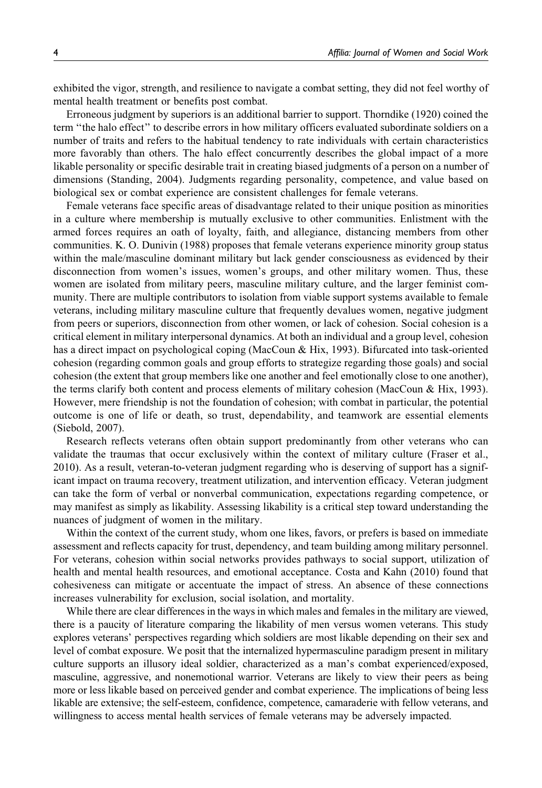exhibited the vigor, strength, and resilience to navigate a combat setting, they did not feel worthy of mental health treatment or benefits post combat.

Erroneous judgment by superiors is an additional barrier to support. Thorndike (1920) coined the term ''the halo effect'' to describe errors in how military officers evaluated subordinate soldiers on a number of traits and refers to the habitual tendency to rate individuals with certain characteristics more favorably than others. The halo effect concurrently describes the global impact of a more likable personality or specific desirable trait in creating biased judgments of a person on a number of dimensions (Standing, 2004). Judgments regarding personality, competence, and value based on biological sex or combat experience are consistent challenges for female veterans.

Female veterans face specific areas of disadvantage related to their unique position as minorities in a culture where membership is mutually exclusive to other communities. Enlistment with the armed forces requires an oath of loyalty, faith, and allegiance, distancing members from other communities. K. O. Dunivin (1988) proposes that female veterans experience minority group status within the male/masculine dominant military but lack gender consciousness as evidenced by their disconnection from women's issues, women's groups, and other military women. Thus, these women are isolated from military peers, masculine military culture, and the larger feminist community. There are multiple contributors to isolation from viable support systems available to female veterans, including military masculine culture that frequently devalues women, negative judgment from peers or superiors, disconnection from other women, or lack of cohesion. Social cohesion is a critical element in military interpersonal dynamics. At both an individual and a group level, cohesion has a direct impact on psychological coping (MacCoun & Hix, 1993). Bifurcated into task-oriented cohesion (regarding common goals and group efforts to strategize regarding those goals) and social cohesion (the extent that group members like one another and feel emotionally close to one another), the terms clarify both content and process elements of military cohesion (MacCoun & Hix, 1993). However, mere friendship is not the foundation of cohesion; with combat in particular, the potential outcome is one of life or death, so trust, dependability, and teamwork are essential elements (Siebold, 2007).

Research reflects veterans often obtain support predominantly from other veterans who can validate the traumas that occur exclusively within the context of military culture (Fraser et al., 2010). As a result, veteran-to-veteran judgment regarding who is deserving of support has a significant impact on trauma recovery, treatment utilization, and intervention efficacy. Veteran judgment can take the form of verbal or nonverbal communication, expectations regarding competence, or may manifest as simply as likability. Assessing likability is a critical step toward understanding the nuances of judgment of women in the military.

Within the context of the current study, whom one likes, favors, or prefers is based on immediate assessment and reflects capacity for trust, dependency, and team building among military personnel. For veterans, cohesion within social networks provides pathways to social support, utilization of health and mental health resources, and emotional acceptance. Costa and Kahn (2010) found that cohesiveness can mitigate or accentuate the impact of stress. An absence of these connections increases vulnerability for exclusion, social isolation, and mortality.

While there are clear differences in the ways in which males and females in the military are viewed, there is a paucity of literature comparing the likability of men versus women veterans. This study explores veterans' perspectives regarding which soldiers are most likable depending on their sex and level of combat exposure. We posit that the internalized hypermasculine paradigm present in military culture supports an illusory ideal soldier, characterized as a man's combat experienced/exposed, masculine, aggressive, and nonemotional warrior. Veterans are likely to view their peers as being more or less likable based on perceived gender and combat experience. The implications of being less likable are extensive; the self-esteem, confidence, competence, camaraderie with fellow veterans, and willingness to access mental health services of female veterans may be adversely impacted.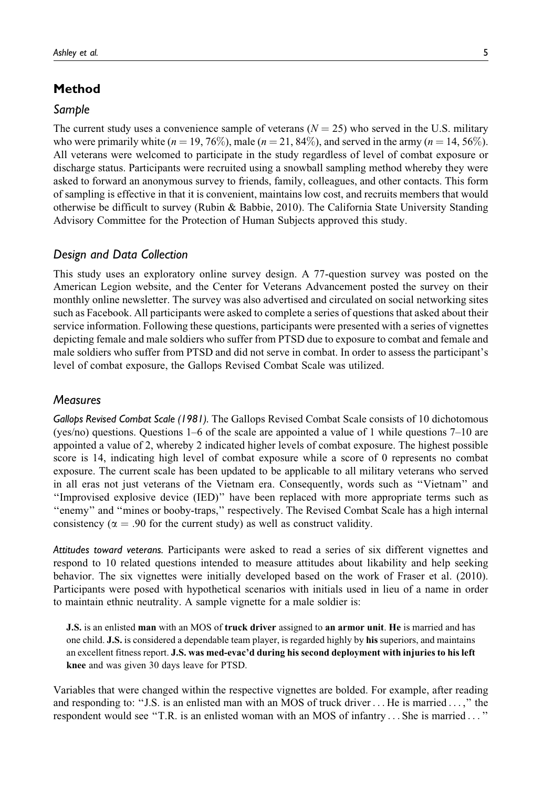# Method

#### Sample

The current study uses a convenience sample of veterans  $(N = 25)$  who served in the U.S. military who were primarily white  $(n = 19, 76\%)$ , male  $(n = 21, 84\%)$ , and served in the army  $(n = 14, 56\%)$ . All veterans were welcomed to participate in the study regardless of level of combat exposure or discharge status. Participants were recruited using a snowball sampling method whereby they were asked to forward an anonymous survey to friends, family, colleagues, and other contacts. This form of sampling is effective in that it is convenient, maintains low cost, and recruits members that would otherwise be difficult to survey (Rubin & Babbie, 2010). The California State University Standing Advisory Committee for the Protection of Human Subjects approved this study.

#### Design and Data Collection

This study uses an exploratory online survey design. A 77-question survey was posted on the American Legion website, and the Center for Veterans Advancement posted the survey on their monthly online newsletter. The survey was also advertised and circulated on social networking sites such as Facebook. All participants were asked to complete a series of questions that asked about their service information. Following these questions, participants were presented with a series of vignettes depicting female and male soldiers who suffer from PTSD due to exposure to combat and female and male soldiers who suffer from PTSD and did not serve in combat. In order to assess the participant's level of combat exposure, the Gallops Revised Combat Scale was utilized.

#### **Measures**

Gallops Revised Combat Scale (1981). The Gallops Revised Combat Scale consists of 10 dichotomous (yes/no) questions. Questions 1–6 of the scale are appointed a value of 1 while questions 7–10 are appointed a value of 2, whereby 2 indicated higher levels of combat exposure. The highest possible score is 14, indicating high level of combat exposure while a score of 0 represents no combat exposure. The current scale has been updated to be applicable to all military veterans who served in all eras not just veterans of the Vietnam era. Consequently, words such as ''Vietnam'' and ''Improvised explosive device (IED)'' have been replaced with more appropriate terms such as ''enemy'' and ''mines or booby-traps,'' respectively. The Revised Combat Scale has a high internal consistency ( $\alpha$  = .90 for the current study) as well as construct validity.

Attitudes toward veterans. Participants were asked to read a series of six different vignettes and respond to 10 related questions intended to measure attitudes about likability and help seeking behavior. The six vignettes were initially developed based on the work of Fraser et al. (2010). Participants were posed with hypothetical scenarios with initials used in lieu of a name in order to maintain ethnic neutrality. A sample vignette for a male soldier is:

**J.S.** is an enlisted man with an MOS of truck driver assigned to an armor unit. He is married and has one child. J.S. is considered a dependable team player, is regarded highly by his superiors, and maintains an excellent fitness report. J.S. was med-evac'd during his second deployment with injuries to his left knee and was given 30 days leave for PTSD.

Variables that were changed within the respective vignettes are bolded. For example, after reading and responding to: "J.S. is an enlisted man with an MOS of truck driver ... He is married ...," the respondent would see ''T.R. is an enlisted woman with an MOS of infantry ... She is married ... ''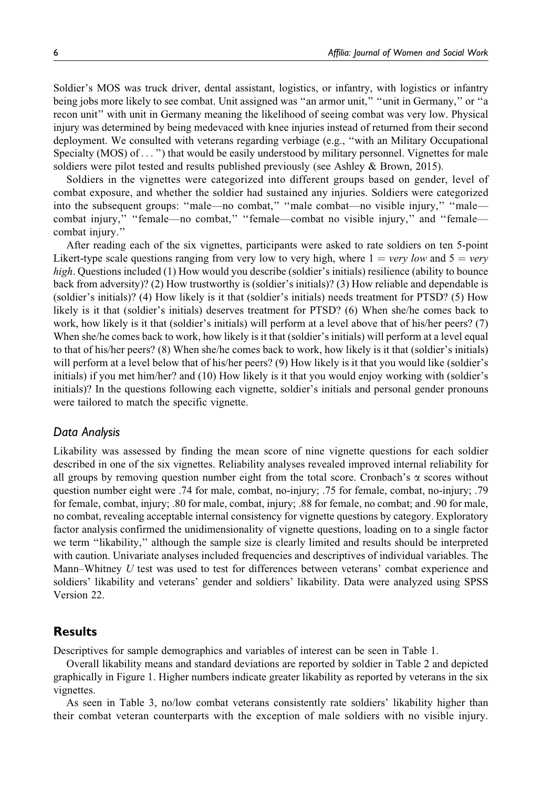Soldier's MOS was truck driver, dental assistant, logistics, or infantry, with logistics or infantry being jobs more likely to see combat. Unit assigned was "an armor unit," "unit in Germany," or "a recon unit'' with unit in Germany meaning the likelihood of seeing combat was very low. Physical injury was determined by being medevaced with knee injuries instead of returned from their second deployment. We consulted with veterans regarding verbiage (e.g., ''with an Military Occupational Specialty (MOS) of...") that would be easily understood by military personnel. Vignettes for male soldiers were pilot tested and results published previously (see Ashley & Brown, 2015).

Soldiers in the vignettes were categorized into different groups based on gender, level of combat exposure, and whether the soldier had sustained any injuries. Soldiers were categorized into the subsequent groups: "male—no combat," "male combat—no visible injury," "male combat injury," "female—no combat," "female—combat no visible injury," and "female combat injury.''

After reading each of the six vignettes, participants were asked to rate soldiers on ten 5-point Likert-type scale questions ranging from very low to very high, where  $1 = \text{very low}$  and  $5 = \text{very}$ high. Questions included (1) How would you describe (soldier's initials) resilience (ability to bounce back from adversity)? (2) How trustworthy is (soldier's initials)? (3) How reliable and dependable is (soldier's initials)? (4) How likely is it that (soldier's initials) needs treatment for PTSD? (5) How likely is it that (soldier's initials) deserves treatment for PTSD? (6) When she/he comes back to work, how likely is it that (soldier's initials) will perform at a level above that of his/her peers? (7) When she/he comes back to work, how likely is it that (soldier's initials) will perform at a level equal to that of his/her peers? (8) When she/he comes back to work, how likely is it that (soldier's initials) will perform at a level below that of his/her peers? (9) How likely is it that you would like (soldier's initials) if you met him/her? and (10) How likely is it that you would enjoy working with (soldier's initials)? In the questions following each vignette, soldier's initials and personal gender pronouns were tailored to match the specific vignette.

#### Data Analysis

Likability was assessed by finding the mean score of nine vignette questions for each soldier described in one of the six vignettes. Reliability analyses revealed improved internal reliability for all groups by removing question number eight from the total score. Cronbach's  $\alpha$  scores without question number eight were .74 for male, combat, no-injury; .75 for female, combat, no-injury; .79 for female, combat, injury; .80 for male, combat, injury; .88 for female, no combat; and .90 for male, no combat, revealing acceptable internal consistency for vignette questions by category. Exploratory factor analysis confirmed the unidimensionality of vignette questions, loading on to a single factor we term ''likability,'' although the sample size is clearly limited and results should be interpreted with caution. Univariate analyses included frequencies and descriptives of individual variables. The Mann–Whitney  $U$  test was used to test for differences between veterans' combat experience and soldiers' likability and veterans' gender and soldiers' likability. Data were analyzed using SPSS Version 22.

#### **Results**

Descriptives for sample demographics and variables of interest can be seen in Table 1.

Overall likability means and standard deviations are reported by soldier in Table 2 and depicted graphically in Figure 1. Higher numbers indicate greater likability as reported by veterans in the six vignettes.

As seen in Table 3, no/low combat veterans consistently rate soldiers' likability higher than their combat veteran counterparts with the exception of male soldiers with no visible injury.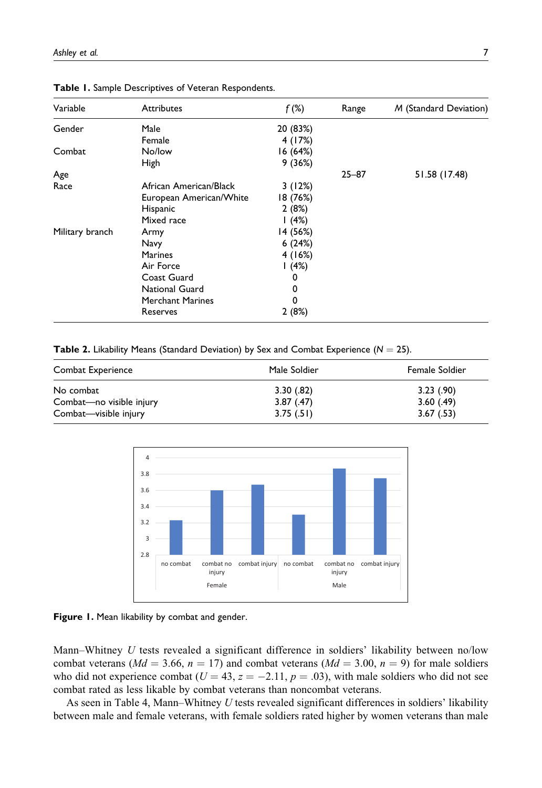| Variable        | <b>Attributes</b>       | $f$ (%)  | Range     | M (Standard Deviation) |
|-----------------|-------------------------|----------|-----------|------------------------|
| Gender          | Male                    | 20 (83%) |           |                        |
|                 | Female                  | 4 (17%)  |           |                        |
| Combat          | No/low                  | 16 (64%) |           |                        |
|                 | High                    | 9(36%)   |           |                        |
| Age             |                         |          | $25 - 87$ | 51.58 (17.48)          |
| Race            | African American/Black  | 3(12%)   |           |                        |
|                 | European American/White | 18 (76%) |           |                        |
|                 | Hispanic                | 2(8%)    |           |                        |
|                 | Mixed race              | 1(4%)    |           |                        |
| Military branch | Army                    | 14 (56%) |           |                        |
|                 | Navy                    | 6(24%)   |           |                        |
|                 | <b>Marines</b>          | 4(16%)   |           |                        |
|                 | Air Force               | (4%)     |           |                        |
|                 | Coast Guard             | 0        |           |                        |
|                 | National Guard          | 0        |           |                        |
|                 | <b>Merchant Marines</b> | 0        |           |                        |
|                 | Reserves                | 2(8%)    |           |                        |

Table 1. Sample Descriptives of Veteran Respondents.

Table 2. Likability Means (Standard Deviation) by Sex and Combat Experience ( $N = 25$ ).

| Combat Experience        | Male Soldier | Female Soldier |
|--------------------------|--------------|----------------|
| No combat                | 3.30(.82)    | 3.23(90)       |
| Combat-no visible injury | 3.87(0.47)   | 3.60(0.49)     |
| Combat—visible injury    | 3.75(.51)    | 3.67(.53)      |





Mann–Whitney  $U$  tests revealed a significant difference in soldiers' likability between no/low combat veterans ( $Md = 3.66$ ,  $n = 17$ ) and combat veterans ( $Md = 3.00$ ,  $n = 9$ ) for male soldiers who did not experience combat ( $U = 43$ ,  $z = -2.11$ ,  $p = .03$ ), with male soldiers who did not see combat rated as less likable by combat veterans than noncombat veterans.

As seen in Table 4, Mann–Whitney U tests revealed significant differences in soldiers' likability between male and female veterans, with female soldiers rated higher by women veterans than male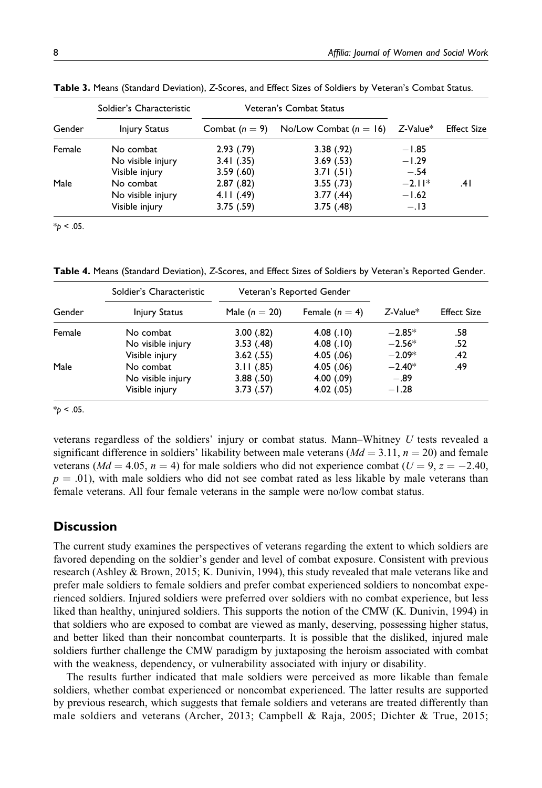|        | Soldier's Characteristic | Veteran's Combat Status |                          |          |                    |
|--------|--------------------------|-------------------------|--------------------------|----------|--------------------|
| Gender | <b>Injury Status</b>     | Combat $(n = 9)$        | No/Low Combat $(n = 16)$ | Z-Value* | <b>Effect Size</b> |
| Female | No combat                | 2.93(79)                | 3.38(.92)                | $-1.85$  |                    |
|        | No visible injury        | 3.41(.35)               | 3.69(.53)                | $-1.29$  |                    |
|        | Visible injury           | 3.59(60)                | 3.71(.51)                | $-.54$   |                    |
| Male   | No combat                | 2.87(.82)               | 3.55(.73)                | $-2.11*$ | .4 I               |
|        | No visible injury        | 4.11(.49)               | 3.77(0.44)               | $-1.62$  |                    |
|        | Visible injury           | 3.75(.59)               | 3.75(.48)                | $-.13$   |                    |

Table 3. Means (Standard Deviation), Z-Scores, and Effect Sizes of Soldiers by Veteran's Combat Status.

 $*_{p}$  < .05.

Table 4. Means (Standard Deviation), Z-Scores, and Effect Sizes of Soldiers by Veteran's Reported Gender.

|        | Soldier's Characteristic | Veteran's Reported Gender |                  |                |                    |
|--------|--------------------------|---------------------------|------------------|----------------|--------------------|
| Gender | <b>Injury Status</b>     | Male $(n = 20)$           | Female $(n = 4)$ | $Z$ -Value $*$ | <b>Effect Size</b> |
| Female | No combat                | 3.00(.82)                 | 4.08(.10)        | $-2.85*$       | .58                |
|        | No visible injury        | 3.53(.48)                 | 4.08(.10)        | $-2.56*$       | .52                |
|        | Visible injury           | 3.62(.55)                 | 4.05(0.06)       | $-2.09*$       | .42                |
| Male   | No combat                | 3.11(.85)                 | 4.05(0.06)       | $-2.40*$       | .49                |
|        | No visible injury        | 3.88(.50)                 | 4.00(0.09)       | $-.89$         |                    |
|        | Visible injury           | 3.73(.57)                 | 4.02(0.05)       | $-1.28$        |                    |

 $*_{p}$  < .05.

veterans regardless of the soldiers' injury or combat status. Mann–Whitney  $U$  tests revealed a significant difference in soldiers' likability between male veterans ( $Md = 3.11$ ,  $n = 20$ ) and female veterans ( $Md = 4.05$ ,  $n = 4$ ) for male soldiers who did not experience combat ( $U = 9$ ,  $z = -2.40$ ,  $p = .01$ , with male soldiers who did not see combat rated as less likable by male veterans than female veterans. All four female veterans in the sample were no/low combat status.

### **Discussion**

The current study examines the perspectives of veterans regarding the extent to which soldiers are favored depending on the soldier's gender and level of combat exposure. Consistent with previous research (Ashley & Brown, 2015; K. Dunivin, 1994), this study revealed that male veterans like and prefer male soldiers to female soldiers and prefer combat experienced soldiers to noncombat experienced soldiers. Injured soldiers were preferred over soldiers with no combat experience, but less liked than healthy, uninjured soldiers. This supports the notion of the CMW (K. Dunivin, 1994) in that soldiers who are exposed to combat are viewed as manly, deserving, possessing higher status, and better liked than their noncombat counterparts. It is possible that the disliked, injured male soldiers further challenge the CMW paradigm by juxtaposing the heroism associated with combat with the weakness, dependency, or vulnerability associated with injury or disability.

The results further indicated that male soldiers were perceived as more likable than female soldiers, whether combat experienced or noncombat experienced. The latter results are supported by previous research, which suggests that female soldiers and veterans are treated differently than male soldiers and veterans (Archer, 2013; Campbell & Raja, 2005; Dichter & True, 2015;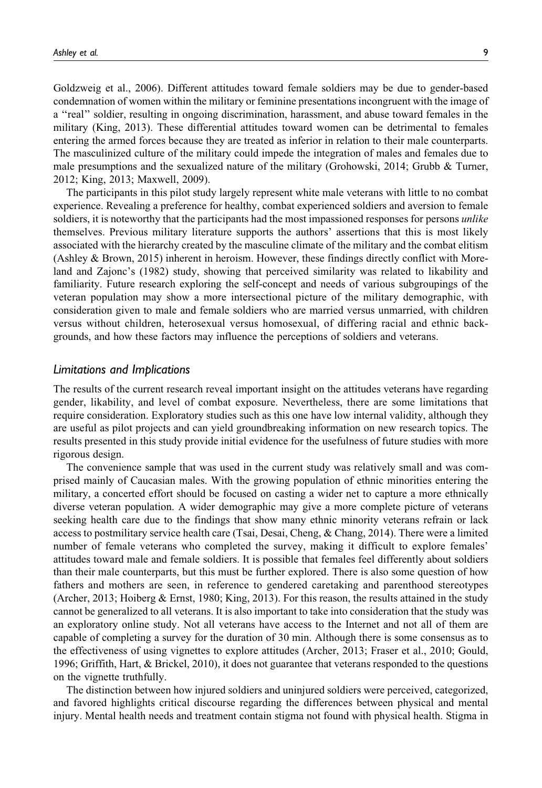Goldzweig et al., 2006). Different attitudes toward female soldiers may be due to gender-based condemnation of women within the military or feminine presentations incongruent with the image of a ''real'' soldier, resulting in ongoing discrimination, harassment, and abuse toward females in the military (King, 2013). These differential attitudes toward women can be detrimental to females entering the armed forces because they are treated as inferior in relation to their male counterparts. The masculinized culture of the military could impede the integration of males and females due to male presumptions and the sexualized nature of the military (Grohowski, 2014; Grubb & Turner, 2012; King, 2013; Maxwell, 2009).

The participants in this pilot study largely represent white male veterans with little to no combat experience. Revealing a preference for healthy, combat experienced soldiers and aversion to female soldiers, it is noteworthy that the participants had the most impassioned responses for persons unlike themselves. Previous military literature supports the authors' assertions that this is most likely associated with the hierarchy created by the masculine climate of the military and the combat elitism (Ashley & Brown, 2015) inherent in heroism. However, these findings directly conflict with Moreland and Zajonc's (1982) study, showing that perceived similarity was related to likability and familiarity. Future research exploring the self-concept and needs of various subgroupings of the veteran population may show a more intersectional picture of the military demographic, with consideration given to male and female soldiers who are married versus unmarried, with children versus without children, heterosexual versus homosexual, of differing racial and ethnic backgrounds, and how these factors may influence the perceptions of soldiers and veterans.

#### Limitations and Implications

The results of the current research reveal important insight on the attitudes veterans have regarding gender, likability, and level of combat exposure. Nevertheless, there are some limitations that require consideration. Exploratory studies such as this one have low internal validity, although they are useful as pilot projects and can yield groundbreaking information on new research topics. The results presented in this study provide initial evidence for the usefulness of future studies with more rigorous design.

The convenience sample that was used in the current study was relatively small and was comprised mainly of Caucasian males. With the growing population of ethnic minorities entering the military, a concerted effort should be focused on casting a wider net to capture a more ethnically diverse veteran population. A wider demographic may give a more complete picture of veterans seeking health care due to the findings that show many ethnic minority veterans refrain or lack access to postmilitary service health care (Tsai, Desai, Cheng, & Chang, 2014). There were a limited number of female veterans who completed the survey, making it difficult to explore females' attitudes toward male and female soldiers. It is possible that females feel differently about soldiers than their male counterparts, but this must be further explored. There is also some question of how fathers and mothers are seen, in reference to gendered caretaking and parenthood stereotypes (Archer, 2013; Hoiberg & Ernst, 1980; King, 2013). For this reason, the results attained in the study cannot be generalized to all veterans. It is also important to take into consideration that the study was an exploratory online study. Not all veterans have access to the Internet and not all of them are capable of completing a survey for the duration of 30 min. Although there is some consensus as to the effectiveness of using vignettes to explore attitudes (Archer, 2013; Fraser et al., 2010; Gould, 1996; Griffith, Hart, & Brickel, 2010), it does not guarantee that veterans responded to the questions on the vignette truthfully.

The distinction between how injured soldiers and uninjured soldiers were perceived, categorized, and favored highlights critical discourse regarding the differences between physical and mental injury. Mental health needs and treatment contain stigma not found with physical health. Stigma in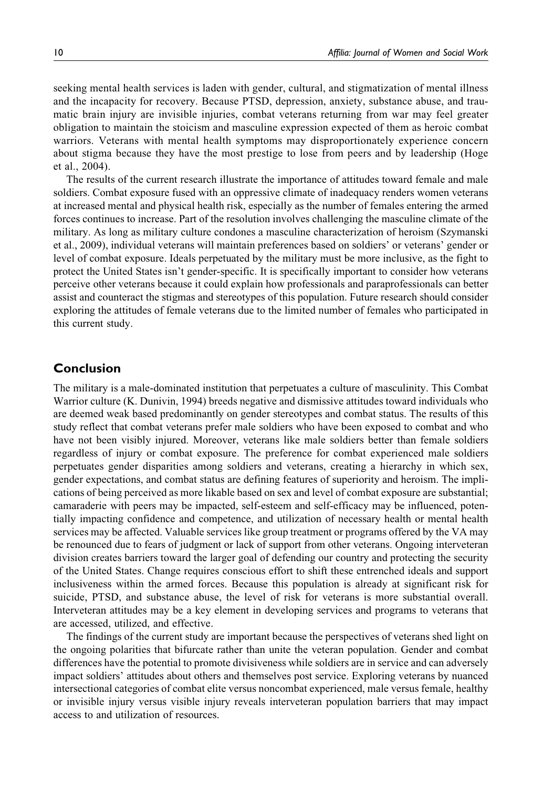seeking mental health services is laden with gender, cultural, and stigmatization of mental illness and the incapacity for recovery. Because PTSD, depression, anxiety, substance abuse, and traumatic brain injury are invisible injuries, combat veterans returning from war may feel greater obligation to maintain the stoicism and masculine expression expected of them as heroic combat warriors. Veterans with mental health symptoms may disproportionately experience concern about stigma because they have the most prestige to lose from peers and by leadership (Hoge et al., 2004).

The results of the current research illustrate the importance of attitudes toward female and male soldiers. Combat exposure fused with an oppressive climate of inadequacy renders women veterans at increased mental and physical health risk, especially as the number of females entering the armed forces continues to increase. Part of the resolution involves challenging the masculine climate of the military. As long as military culture condones a masculine characterization of heroism (Szymanski et al., 2009), individual veterans will maintain preferences based on soldiers' or veterans' gender or level of combat exposure. Ideals perpetuated by the military must be more inclusive, as the fight to protect the United States isn't gender-specific. It is specifically important to consider how veterans perceive other veterans because it could explain how professionals and paraprofessionals can better assist and counteract the stigmas and stereotypes of this population. Future research should consider exploring the attitudes of female veterans due to the limited number of females who participated in this current study.

# Conclusion

The military is a male-dominated institution that perpetuates a culture of masculinity. This Combat Warrior culture (K. Dunivin, 1994) breeds negative and dismissive attitudes toward individuals who are deemed weak based predominantly on gender stereotypes and combat status. The results of this study reflect that combat veterans prefer male soldiers who have been exposed to combat and who have not been visibly injured. Moreover, veterans like male soldiers better than female soldiers regardless of injury or combat exposure. The preference for combat experienced male soldiers perpetuates gender disparities among soldiers and veterans, creating a hierarchy in which sex, gender expectations, and combat status are defining features of superiority and heroism. The implications of being perceived as more likable based on sex and level of combat exposure are substantial; camaraderie with peers may be impacted, self-esteem and self-efficacy may be influenced, potentially impacting confidence and competence, and utilization of necessary health or mental health services may be affected. Valuable services like group treatment or programs offered by the VA may be renounced due to fears of judgment or lack of support from other veterans. Ongoing interveteran division creates barriers toward the larger goal of defending our country and protecting the security of the United States. Change requires conscious effort to shift these entrenched ideals and support inclusiveness within the armed forces. Because this population is already at significant risk for suicide, PTSD, and substance abuse, the level of risk for veterans is more substantial overall. Interveteran attitudes may be a key element in developing services and programs to veterans that are accessed, utilized, and effective.

The findings of the current study are important because the perspectives of veterans shed light on the ongoing polarities that bifurcate rather than unite the veteran population. Gender and combat differences have the potential to promote divisiveness while soldiers are in service and can adversely impact soldiers' attitudes about others and themselves post service. Exploring veterans by nuanced intersectional categories of combat elite versus noncombat experienced, male versus female, healthy or invisible injury versus visible injury reveals interveteran population barriers that may impact access to and utilization of resources.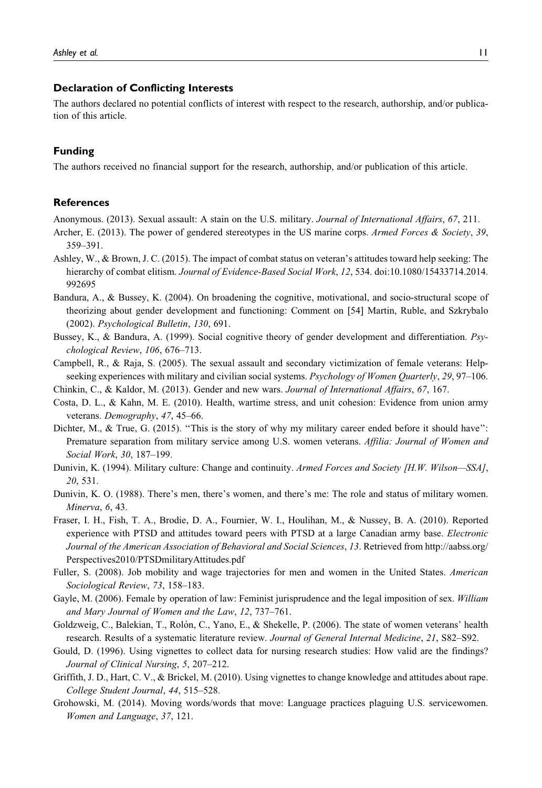#### Declaration of Conflicting Interests

The authors declared no potential conflicts of interest with respect to the research, authorship, and/or publication of this article.

#### Funding

The authors received no financial support for the research, authorship, and/or publication of this article.

#### **References**

Anonymous. (2013). Sexual assault: A stain on the U.S. military. Journal of International Affairs, 67, 211.

- Archer, E. (2013). The power of gendered stereotypes in the US marine corps. Armed Forces & Society, 39, 359–391.
- Ashley, W., & Brown, J. C. (2015). The impact of combat status on veteran's attitudes toward help seeking: The hierarchy of combat elitism. Journal of Evidence-Based Social Work, 12, 534. doi:10.1080/15433714.2014. 992695
- Bandura, A., & Bussey, K. (2004). On broadening the cognitive, motivational, and socio-structural scope of theorizing about gender development and functioning: Comment on [54] Martin, Ruble, and Szkrybalo (2002). Psychological Bulletin, 130, 691.
- Bussey, K., & Bandura, A. (1999). Social cognitive theory of gender development and differentiation. Psychological Review, 106, 676–713.
- Campbell, R., & Raja, S. (2005). The sexual assault and secondary victimization of female veterans: Helpseeking experiences with military and civilian social systems. Psychology of Women Quarterly, 29, 97–106.
- Chinkin, C., & Kaldor, M. (2013). Gender and new wars. Journal of International Affairs, 67, 167.
- Costa, D. L., & Kahn, M. E. (2010). Health, wartime stress, and unit cohesion: Evidence from union army veterans. Demography, 47, 45–66.
- Dichter, M., & True, G. (2015). "This is the story of why my military career ended before it should have": Premature separation from military service among U.S. women veterans. Affilia: Journal of Women and Social Work, 30, 187–199.
- Dunivin, K. (1994). Military culture: Change and continuity. Armed Forces and Society [H.W. Wilson—SSA], 20, 531.
- Dunivin, K. O. (1988). There's men, there's women, and there's me: The role and status of military women. Minerva, 6, 43.
- Fraser, I. H., Fish, T. A., Brodie, D. A., Fournier, W. I., Houlihan, M., & Nussey, B. A. (2010). Reported experience with PTSD and attitudes toward peers with PTSD at a large Canadian army base. Electronic Journal of the American Association of Behavioral and Social Sciences, 13. Retrieved from [http://aabss.org/](http://aabss.org/Perspectives2010/PTSDmilitaryAttitudes.pdf) [Perspectives2010/PTSDmilitaryAttitudes.pdf](http://aabss.org/Perspectives2010/PTSDmilitaryAttitudes.pdf)
- Fuller, S. (2008). Job mobility and wage trajectories for men and women in the United States. American Sociological Review, 73, 158–183.
- Gayle, M. (2006). Female by operation of law: Feminist jurisprudence and the legal imposition of sex. William and Mary Journal of Women and the Law, 12, 737–761.
- Goldzweig, C., Balekian, T., Rolón, C., Yano, E., & Shekelle, P. (2006). The state of women veterans' health research. Results of a systematic literature review. Journal of General Internal Medicine, 21, S82–S92.
- Gould, D. (1996). Using vignettes to collect data for nursing research studies: How valid are the findings? Journal of Clinical Nursing, 5, 207–212.
- Griffith, J. D., Hart, C. V., & Brickel, M. (2010). Using vignettes to change knowledge and attitudes about rape. College Student Journal, 44, 515–528.
- Grohowski, M. (2014). Moving words/words that move: Language practices plaguing U.S. servicewomen. Women and Language, 37, 121.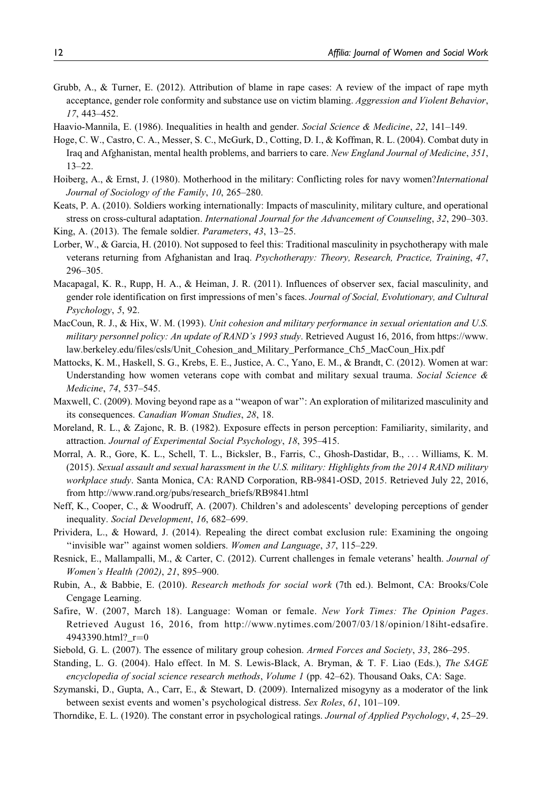- Grubb, A., & Turner, E. (2012). Attribution of blame in rape cases: A review of the impact of rape myth acceptance, gender role conformity and substance use on victim blaming. Aggression and Violent Behavior, 17, 443–452.
- Haavio-Mannila, E. (1986). Inequalities in health and gender. Social Science & Medicine, 22, 141–149.
- Hoge, C. W., Castro, C. A., Messer, S. C., McGurk, D., Cotting, D. I., & Koffman, R. L. (2004). Combat duty in Iraq and Afghanistan, mental health problems, and barriers to care. New England Journal of Medicine, 351, 13–22.
- Hoiberg, A., & Ernst, J. (1980). Motherhood in the military: Conflicting roles for navy women?*International* Journal of Sociology of the Family, 10, 265–280.
- Keats, P. A. (2010). Soldiers working internationally: Impacts of masculinity, military culture, and operational stress on cross-cultural adaptation. International Journal for the Advancement of Counseling, 32, 290-303. King, A. (2013). The female soldier. Parameters, 43, 13–25.
- Lorber, W., & Garcia, H. (2010). Not supposed to feel this: Traditional masculinity in psychotherapy with male veterans returning from Afghanistan and Iraq. Psychotherapy: Theory, Research, Practice, Training, 47, 296–305.
- Macapagal, K. R., Rupp, H. A., & Heiman, J. R. (2011). Influences of observer sex, facial masculinity, and gender role identification on first impressions of men's faces. Journal of Social, Evolutionary, and Cultural Psychology, 5, 92.
- MacCoun, R. J., & Hix, W. M. (1993). Unit cohesion and military performance in sexual orientation and U.S. military personnel policy: An update of RAND's 1993 study. Retrieved August 16, 2016, from [https://www.](https://www.law.berkeley.edu/files/csls/Unit_Cohesion_and_Military_Performance_Ch5_MacCoun_Hix.pdf) [law.berkeley.edu/files/csls/Unit\\_Cohesion\\_and\\_Military\\_Performance\\_Ch5\\_MacCoun\\_Hix.pdf](https://www.law.berkeley.edu/files/csls/Unit_Cohesion_and_Military_Performance_Ch5_MacCoun_Hix.pdf)
- Mattocks, K. M., Haskell, S. G., Krebs, E. E., Justice, A. C., Yano, E. M., & Brandt, C. (2012). Women at war: Understanding how women veterans cope with combat and military sexual trauma. Social Science  $\&$ Medicine, 74, 537–545.
- Maxwell, C. (2009). Moving beyond rape as a ''weapon of war'': An exploration of militarized masculinity and its consequences. Canadian Woman Studies, 28, 18.
- Moreland, R. L., & Zajonc, R. B. (1982). Exposure effects in person perception: Familiarity, similarity, and attraction. Journal of Experimental Social Psychology, 18, 395–415.
- Morral, A. R., Gore, K. L., Schell, T. L., Bicksler, B., Farris, C., Ghosh-Dastidar, B., ... Williams, K. M. (2015). Sexual assault and sexual harassment in the U.S. military: Highlights from the 2014 RAND military workplace study. Santa Monica, CA: RAND Corporation, RB-9841-OSD, 2015. Retrieved July 22, 2016, from [http://www.rand.org/pubs/research\\_briefs/RB9841.html](http://www.rand.org/pubs/research_briefs/RB9841.html)
- Neff, K., Cooper, C., & Woodruff, A. (2007). Children's and adolescents' developing perceptions of gender inequality. Social Development, 16, 682–699.
- Prividera, L., & Howard, J. (2014). Repealing the direct combat exclusion rule: Examining the ongoing ''invisible war'' against women soldiers. Women and Language, 37, 115–229.
- Resnick, E., Mallampalli, M., & Carter, C. (2012). Current challenges in female veterans' health. Journal of Women's Health (2002), 21, 895–900.
- Rubin, A., & Babbie, E. (2010). Research methods for social work (7th ed.). Belmont, CA: Brooks/Cole Cengage Learning.
- Safire, W. (2007, March 18). Language: Woman or female. New York Times: The Opinion Pages. Retrieved August 16, 2016, from [http://www.nytimes.com/2007/03/18/opinion/18iht-edsafire.](http://www.nytimes.com/2007/03/18/opinion/18iht-edsafire.4943390.html?_r=0) 494339[0](http://www.nytimes.com/2007/03/18/opinion/18iht-edsafire.4943390.html?_r=0).html? $r=0$
- Siebold, G. L. (2007). The essence of military group cohesion. Armed Forces and Society, 33, 286–295.
- Standing, L. G. (2004). Halo effect. In M. S. Lewis-Black, A. Bryman, & T. F. Liao (Eds.), The SAGE encyclopedia of social science research methods, Volume 1 (pp. 42–62). Thousand Oaks, CA: Sage.
- Szymanski, D., Gupta, A., Carr, E., & Stewart, D. (2009). Internalized misogyny as a moderator of the link between sexist events and women's psychological distress. Sex Roles, 61, 101-109.
- Thorndike, E. L. (1920). The constant error in psychological ratings. Journal of Applied Psychology, 4, 25–29.